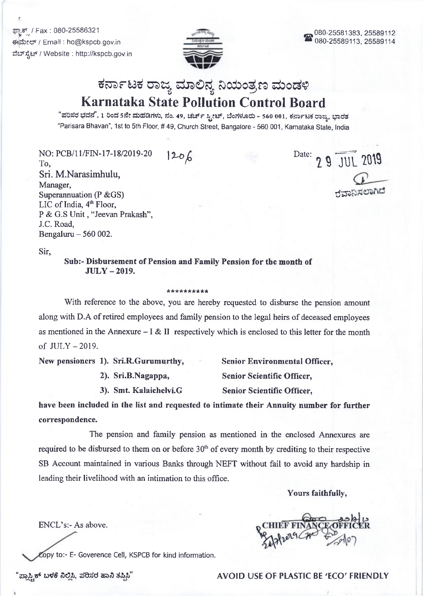ಫ್<mark>ಟಾಕ್ಸ್</mark> / Fax : 080-25586321 €{\$ccr/ Email : ho@kspcb.gov.in ವೆಬ್ ಸ್ಪೆಟ್ / Website : http://kspcb.gov.in



# Karnataka State Pollution Control Board ಕರ್ನಾಟಕ ರಾಜ್ಯ ಮಾಲಿನ್ಯ ನಿಯಂತ್ರಣ ಮಂಡಳಿ

"ಪರಿಸರ ಭವನ", 1 ರಿಂದ sನೇ ಮಹಡಿಗಳು, ನಂ. 49, ಚರ್ಚ್ ಸ್ಕೀಟ್, ಬೆಂಗಳೂರು - 560 001, ಕರ್ನಾಟಕ ರಾಜ್ಯ, ಭಾರತ 'Parisara Bhavan', 1st to 5th Floor, # 49, Church Street, Bangalore - 560 001, Karnataka State, lndia

NO: PCB/11/FIN-17-18/2019-20 To, Sri. M.Narasimhulu, Manager, Superannuation (P &GS) LIC of India,  $4<sup>th</sup>$  Floor, <sup>P</sup>& G.S Unit , "Jeevan Prakash", J.C. Road, Bengaluru - 560 002.

 $120/6$  Date: 29 JUL 2019 ರವಾನಿಸಲಾಗಿದೆ

Sir,

Sub:- Disbursement of Pension and Family Pension for the month of JULY - 2019.

#### \*\*\*\*\*\*\*\*\*

With reference to the above, you are hereby requested to disburse the pension amount along with D.A of retired employees and family pension to the legal heirs of deceased employees as mentioned in the Annexure  $- I & II$  respectively which is enclosed to this letter for the month of  $JULY - 2019$ .

New pensioners 1). Sri.R.Gurumurthy,

2). Sri.B.Nagappa,

3). Smt. Kalaichelvi.G

Senior Environmental Officer, Senior Scientific Officer, Senior Scientific Officer,

have been included in the list and requested to intimate their Annuity number for further correspondence.

The pension and family pension as mentioned in the enclosed Annexures are required to be disbursed to them on or before  $30<sup>th</sup>$  of every month by crediting to their respective SB Account maintained in various Banks through NEFT without fail to avoid any hardship in leading their livelihood with an intimation to this office.

Yours faithfully,

ENCL's:- As above.

:opy to:- E- Goverence Cell, KSPCB for kind information.

'ಪ್ಲಾಸ್ಟಿಕ್ ಬಳಕೆ ನಿಲ್ಲಿಸಿ, ಪರಿಸರ ಹಾನಿ ತಪ್ಪಿಸಿ" AVOID USE OF PLASTIC BE 'ECO' FRIENDLY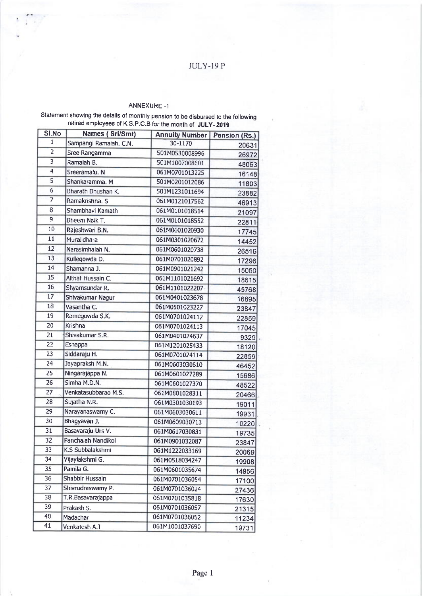# JULY.I9 P

## ANNEXURE -1

#### Statement showing the details of monthty pension to be disbursed to the foltowing retired employees of K.S.p.C.B for the month of JULY- 2019

| SI.No                     | Names (Sri/Smt)        | <b>Annuity Number</b> | Pension (Rs.) |
|---------------------------|------------------------|-----------------------|---------------|
| 1                         | Sampangi Ramaiah. C.N. | 30-1170               | 20631         |
| $\overline{c}$            | Sree Rangamma          | 501M0530008996        | 26972         |
| $\overline{\overline{3}}$ | Ramaiah B.             | 501M1007008601        | 48063         |
| 4                         | Sreeramalu. N          | 061M0701013225        | 16148         |
| 5                         | Shankaramma. M         | 501M0201012086        | 11803         |
| 6                         | Bharath Bhushan K.     | 501M1231011694        | 23882         |
| 7                         | Ramakrishna. S         | 061M0121017562        | 46913         |
| 8                         | Shambhavi Kamath       | 061M0101018514        | 21097         |
| 9                         | Bheem Naik T.          | 061M0101018552        | 22811         |
| 10                        | Rajeshwari B.N.        | 061M0601020930        | 17745         |
| 11                        | Muralidhara            | 061M0301020672        | 14452         |
| 12                        | Narasimhaiah N.        | 061M0601020738        | 26516         |
| 13                        | Kullegowda D.          | 061M0701020892        | 17296         |
| 14                        | Shamanna J.            | 061M0901021242        | 15050         |
| 15                        | Althaf Hussain C.      | 061M1101021692        | 18615         |
| 16                        | Shyamsundar R.         | 061M1101022207        | 45768         |
| 17                        | Shivakumar Nagur       | 061M0401023678        | 16895         |
| 18                        | Vasantha C.            | 061M0501023227        | 23847         |
| 19                        | Ramegowda S.K.         | 061M0701024112        | 22859         |
| 20                        | Krishna                | 061M0701024113        | 17045         |
| 21                        | Shivakumar S.R.        | 061M0401024637        | 9329          |
| 22                        | Eshappa                | 061M1201025433        | 18120         |
| 23                        | Siddaraju H.           | 061M0701024114        | 22859         |
| 24                        | Jayapraksh M.N.        | 061M0603030610        | 46452         |
| 25                        | Ningarajappa N.        | 061M0601027289        | 15686         |
| 26                        | Simha M.D.N.           | 061M0601027370        | 48522         |
| 27                        | Venkatasubbarao M.S.   | 061M0801028311        | 20466         |
| 28                        | Sujatha N.R.           | 061M0301030193        | 19011         |
| 29                        | Narayanaswamy C.       | 061M0603030611        | 19931         |
| 30                        | Bhagyavan J.           | 061M0609030713        | 10220         |
| 31                        | Basavaraju Urs V.      | 061M0617030831        | 19735         |
| 32                        | Panchaiah Nandikol     | 061M0901032087        | 23847         |
| 33                        | K.S Subbalakshmi       | 061M1222033169        | 20069         |
| 34                        | Vijaylakshmi G.        | 061M0518034247        | 19908         |
| 35                        | Pamila G.              | 061M0601035674        | 14956         |
| 36                        | Shabbir Hussain        | 061M0701036054        | 17100         |
| 37                        | Shivrudraswamy P.      | 061M0701036024        | 27436         |
| 38                        | T.R.Basavarajappa      | 061M0701035818        | 17630         |
| 39                        | Prakash S.             | 061M0701036057        | 21315         |
| 40                        | Madachar               | 061M0701036052        | 11234         |
| 41                        | Venkatesh A.T          | 061M1001037690        | 19731         |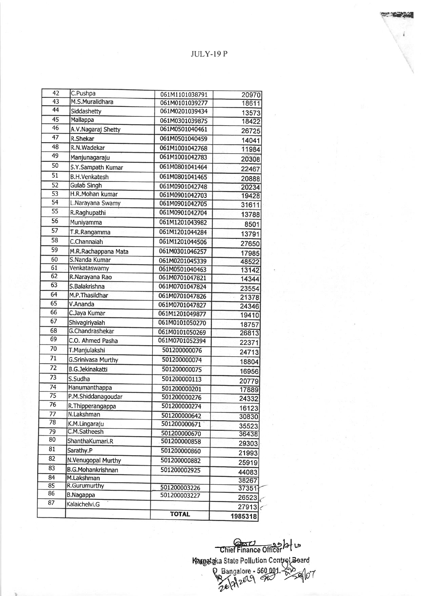# JULY-I9 P

 $\epsilon = \frac{1}{2}$ 

| 42              | C.Pushpa                  | 061M1101038791 | 20970          |
|-----------------|---------------------------|----------------|----------------|
| 43              | M.S.Muralidhara           | 061M0101039277 | 18611          |
| $\overline{44}$ | Siddashetty               | 061M0201039434 | 13573          |
| $\overline{45}$ | Mallappa                  | 061M0301039875 | 18422          |
| 46              | A.V.Nagaraj Shetty        | 061M0501040461 | 26725          |
| $\overline{47}$ | <b>R.Shekar</b>           | 061M0501040459 | 14041          |
| 48              | R.N.Wadekar               | 061M1001042768 | 11984          |
| 49              | Manjunagaraju             | 061M1001042783 | 20308          |
| 50              | S.Y.Sampath Kumar         | 061M0801041464 | 22467          |
| $\overline{51}$ | <b>B.H.Venkatesh</b>      | 061M0801041465 | 20888          |
| 52              | <b>Gulab Singh</b>        | 061M0901042748 | 20234          |
| 53              | H.R.Mohan kumar           | 061M0901042703 | 19428          |
| $\overline{54}$ | L.Narayana Swamy          | 061M0901042705 | 31611          |
| 55              | R.Raghupathi              | 061M0901042704 | 13788          |
| 56              | Muniyamma                 | 061M1201043982 | 8501           |
| 57              | T.R.Rangamma              | 061M1201044284 | 13791          |
| 58              | C.Channaiah               | 061M1201044506 | 27650          |
| 59              | M.R.Rachappana Mata       | 061M0301046257 |                |
| 60              | S.Nanda Kumar             | 061M0201045339 | 17985<br>48522 |
| 61              | Venkataswamy              | 061M0501040463 | 13142          |
| 62              | R.Narayana Rao            | 061M0701047821 | 14344          |
| 63              | S.Balakrishna             | 061M0701047824 | 23554          |
| 64              | M.P. Thasildhar           | 061M0701047826 | 21378          |
| 65              | V.Ananda                  | 061M0701047827 | 24346          |
| 66              | C.Jaya Kumar              | 061M1201049877 | 19410          |
| 67              | Shivagiriyaiah            | 061M0101050270 | 18757          |
| 68              | G.Chandrashekar           | 061M0101050269 | 26813          |
| 69              | C.O. Ahmed Pasha          | 061M0701052394 | 22371          |
| 70              | T.Manjulakshi             | 501200000076   | 24713          |
| 71              | <b>G.Srinivasa Murthy</b> | 501200000074   | 18804          |
| 72              | <b>B.G.Jekinakatti</b>    | 501200000075   | 16956          |
| 73              | S.Sudha                   | 501200000113   | 20779          |
| 74              | Hanumanthappa             | 501200000201   | 17889          |
| 75              | P.M.Shiddanagoudar        | 501200000276   | 24332          |
| 76              | R. Thipperangappa         | 501200000274   | 16123          |
| 77              | N.Lakshman                | 501200000642   | 30830          |
| 78              | K.M.Lingaraju             | 501200000671   | 35523          |
| 79              | C.M.Satheesh              | 501200000670   | 36438          |
| 80              | ShanthaKumari.R           | 501200000858   | 29303          |
| 81              | Sarathy.P                 | 501200000860   | 21993          |
| 82              | N.Venugopal Murthy        | 501200000882   | 25919          |
| 83              | <b>B.G.Mohankrishnan</b>  | 501200002925   | 44083          |
| 84              | M.Lakshman                |                | 38267          |
| 85              | <b>R.Gurumurthy</b>       | 501200003226   | 37351          |
| 86              | B.Nagappa                 | 501200003227   | 26523          |
| 87              | Kalaichelvi.G             |                | 27913c         |
|                 |                           | <b>TOTAL</b>   | 1985318        |

المور<br>**المورد ال**ابعية Maggard  $560.001.80$ u | Chief Finance Officer